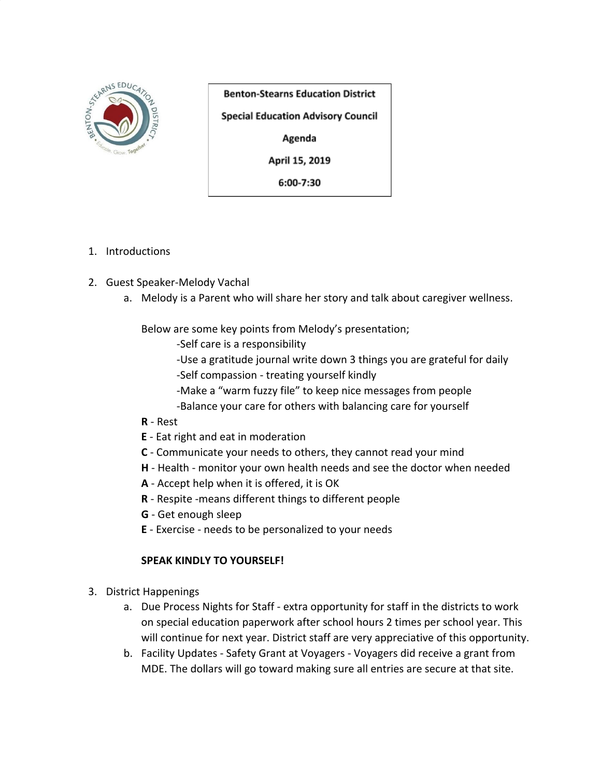

**Benton-Stearns Education District Special Education Advisory Council** Agenda April 15, 2019

6:00-7:30

- 1. Introductions
- 2. Guest Speaker-Melody Vachal
	- a. Melody is a Parent who will share her story and talk about caregiver wellness.

Below are some key points from Melody's presentation;

- -Self care is a responsibility
- -Use a gratitude journal write down 3 things you are grateful for daily -Self compassion - treating yourself kindly
- -Make a "warm fuzzy file" to keep nice messages from people
- -Balance your care for others with balancing care for yourself
- **R** Rest
- **E** Eat right and eat in moderation
- **C** Communicate your needs to others, they cannot read your mind
- **H** Health monitor your own health needs and see the doctor when needed
- **A** Accept help when it is offered, it is OK
- **R** Respite -means different things to different people
- **G** Get enough sleep
- **E** Exercise needs to be personalized to your needs

## **SPEAK KINDLY TO YOURSELF!**

- 3. District Happenings
	- a. Due Process Nights for Staff extra opportunity for staff in the districts to work on special education paperwork after school hours 2 times per school year. This will continue for next year. District staff are very appreciative of this opportunity.
	- b. Facility Updates Safety Grant at Voyagers Voyagers did receive a grant from MDE. The dollars will go toward making sure all entries are secure at that site.